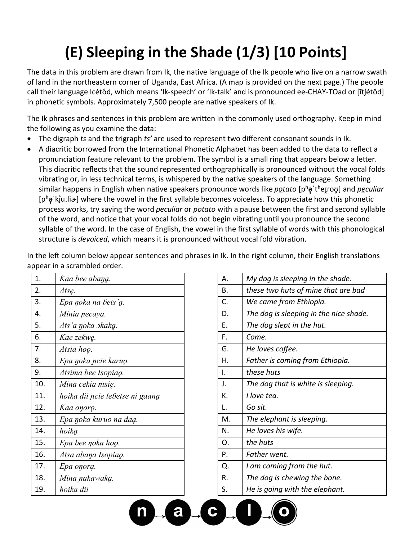## **(E) Sleeping in the Shade (1/3) [10 Points]**

The data in this problem are drawn from Ik, the native language of the Ik people who live on a narrow swath of land in the northeastern corner of Uganda, East Africa. (A map is provided on the next page.) The people call their language Icétôd, which means 'Ik-speech' or 'Ik-talk' and is pronounced ee-CHAY-TOad or [ītʃétôd] in phonetic symbols. Approximately 7,500 people are native speakers of Ik.

The Ik phrases and sentences in this problem are written in the commonly used orthography. Keep in mind the following as you examine the data:

- The digraph *ts* and the trigraph *ts'* are used to represent two different consonant sounds in Ik.
- A diacritic borrowed from the International Phonetic Alphabet has been added to the data to reflect a pronunciation feature relevant to the problem. The symbol is a small ring that appears below a letter. This diacritic reflects that the sound represented orthographically is pronounced without the vocal folds vibrating or, in less technical terms, is whispered by the native speakers of the language. Something similar happens in English when native speakers pronounce words like *potato* [pʰ**ə̥**ˈtʰeɪɾ̯oʊ̯] and *peculiar*  [p<sup>h</sup>**ə**<sup>'</sup>kjuːli�] where the vowel in the first syllable becomes voiceless. To appreciate how this phonetic process works, try saying the word *peculiar* or *potato* with a pause between the first and second syllable of the word, and notice that your vocal folds do not begin vibrating until you pronounce the second syllable of the word. In the case of English, the vowel in the first syllable of words with this phonological structure is *devoiced*, which means it is pronounced without vocal fold vibration.

In the left column below appear sentences and phrases in Ik. In the right column, their English translations appear in a scrambled order.

a

 $\mathbf{c}$ 

| 1.  | Kaa bee abana.                  | Α. | My dog is sleeping in the shade.      |
|-----|---------------------------------|----|---------------------------------------|
| 2.  | Atsę.                           | В. | these two huts of mine that are bad   |
| 3.  | Epa noka na bets'a.             | C. | We came from Ethiopia.                |
| 4.  | Minia necaya.                   | D. | The dog is sleeping in the nice shade |
| 5.  | Ats'a noka okaka.               | Ε. | The dog slept in the hut.             |
| 6.  | Kae zekwę.                      | F. | Come.                                 |
| 7.  | Atsia hoo.                      | G. | He loves coffee.                      |
| 8.  | Epa noka ncie kuruo.            | Η. | Father is coming from Ethiopia.       |
| 9.  | Atsima bee Isopiaq.             | ı. | these huts                            |
| 10. | Mina cekia ntsię.               | J. | The dog that is white is sleeping.    |
| 11. | hoika dii ncie lebetse ni gaang | К. | I love tea.                           |
| 12. | Kaa onoro.                      | L. | Go sit.                               |
| 13. | Epa noka kuruo na dag.          | M. | The elephant is sleeping.             |
| 14. | hoika                           | N. | He loves his wife.                    |
| 15. | Epa bee noka hoo.               | 0. | the huts                              |
| 16. | Atsa abana Isopiao.             | P. | Father went.                          |
| 17. | Epa onora.                      | Q. | I am coming from the hut.             |
| 18. | Mina pakawaką.                  | R. | The dog is chewing the bone.          |
| 19. | hoika dii                       | S. | He is going with the elephant.        |
|     |                                 |    |                                       |

| Kaa bee abang.                  | А. | My dog is sleeping in the shade.       |
|---------------------------------|----|----------------------------------------|
| Atsę.                           | В. | these two huts of mine that are bad    |
| Epa noka na bets'a.             | C. | We came from Ethiopia.                 |
| Minia necayą.                   | D. | The dog is sleeping in the nice shade. |
| Ats'a ŋoka ɔkaką.               | Ε. | The dog slept in the hut.              |
| Kae zekwę.                      | F. | Come.                                  |
| Atsia hoo.                      | G. | He loves coffee.                       |
| Epa noka ncie kuruo.            | Η. | Father is coming from Ethiopia.        |
| Atsima bee Isopiao.             | I. | these huts                             |
| Mina cekia ntsię.               | J. | The dog that is white is sleeping.     |
| hoika dii ncie lebetse ni gaana | K. | I love tea.                            |
| Kaa onoro.                      | L. | Go sit.                                |
| Epa noka kuruo na dag.          | M. | The elephant is sleeping.              |
| hoika                           | N. | He loves his wife.                     |
| Epa bee noka hoo.               | 0. | the huts                               |
| Atsa abana Isopiao.             | P. | Father went.                           |
| Epa onora.                      | Q. | I am coming from the hut.              |
| Mina nakawaką.                  | R. | The dog is chewing the bone.           |
| hoika dii                       | S. | He is going with the elephant.         |
|                                 |    |                                        |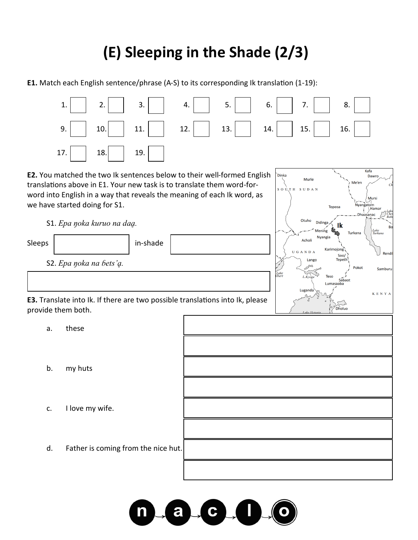## **(E) Sleeping in the Shade (2/3)**

**E1.** Match each English sentence/phrase (A-S) to its corresponding Ik translation (1-19):